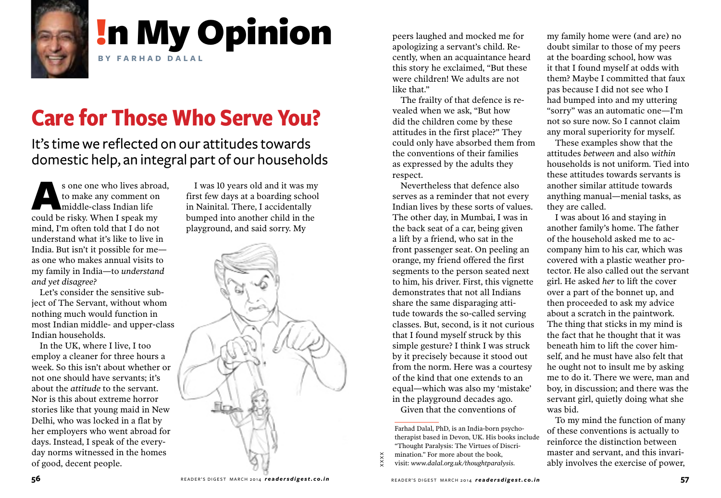

## **In My Opinion By Farhad D alal**

## **Care for Those Who Serve You?**

It's time we reflected on our attitudes towards domestic help, an integral part of our households

s one one who lives abroad,<br>to make any comment on<br>middle-class Indian life<br>could be risky. When I speak my to make any comment on middle-class Indian life mind, I'm often told that I do not understand what it's like to live in India. But isn't it possible for me as one who makes annual visits to my family in India—to *understand and yet disagree?* 

Let's consider the sensitive subject of The Servant, without whom nothing much would function in most Indian middle- and upper-class Indian households.

In the UK, where I live, I too employ a cleaner for three hours a week. So this isn't about whether or not one should have servants; it's about the *attitude* to the servant. Nor is this about extreme horror stories like that young maid in New Delhi, who was locked in a flat by her employers who went abroad for days. Instead, I speak of the everyday norms witnessed in the homes of good, decent people.

I was 10 years old and it was my first few days at a boarding school in Nainital. There, I accidentally bumped into another child in the playground, and said sorry. My



peers laughed and mocked me for apologizing a servant's child. Recently, when an acquaintance heard this story he exclaimed, "But these were children! We adults are not like that."

The frailty of that defence is revealed when we ask, "But how did the children come by these attitudes in the first place?" They could only have absorbed them from the conventions of their families as expressed by the adults they respect.

Nevertheless that defence also serves as a reminder that not every Indian lives by these sorts of values. The other day, in Mumbai, I was in the back seat of a car, being given a lift by a friend, who sat in the front passenger seat. On peeling an orange, my friend offered the first segments to the person seated next to him, his driver. First, this vignette demonstrates that not all Indians share the same disparaging attitude towards the so-called serving classes. But, second, is it not curious that I found myself struck by this simple gesture? I think I was struck by it precisely because it stood out from the norm. Here was a courtesy of the kind that one extends to an equal—which was also my 'mistake' in the playground decades ago.

Given that the conventions of

Farhad Dalal, PhD, is an India-born psychotherapist based in Devon, UK. His books include "Thought Paralysis: The Virtues of Discrimination." For more about the book, visit: *www.dalal.org.uk/thoughtparalysis.*

xxxx

my family home were (and are) no doubt similar to those of my peers at the boarding school, how was it that I found myself at odds with them? Maybe I committed that faux pas because I did not see who I had bumped into and my uttering "sorry" was an automatic one—I'm not so sure now. So I cannot claim any moral superiority for myself.

These examples show that the attitudes *between* and also *within* households is not uniform. Tied into these attitudes towards servants is another similar attitude towards anything manual—menial tasks, as they are called.

I was about 16 and staying in another family's home. The father of the household asked me to accompany him to his car, which was covered with a plastic weather protector. He also called out the servant girl. He asked *her* to lift the cover over a part of the bonnet up, and then proceeded to ask my advice about a scratch in the paintwork. The thing that sticks in my mind is the fact that he thought that it was beneath him to lift the cover himself, and he must have also felt that he ought not to insult me by asking me to do it. There we were, man and boy, in discussion; and there was the servant girl, quietly doing what she was bid.

To my mind the function of many of these conventions is actually to reinforce the distinction between master and servant, and this invariably involves the exercise of power,